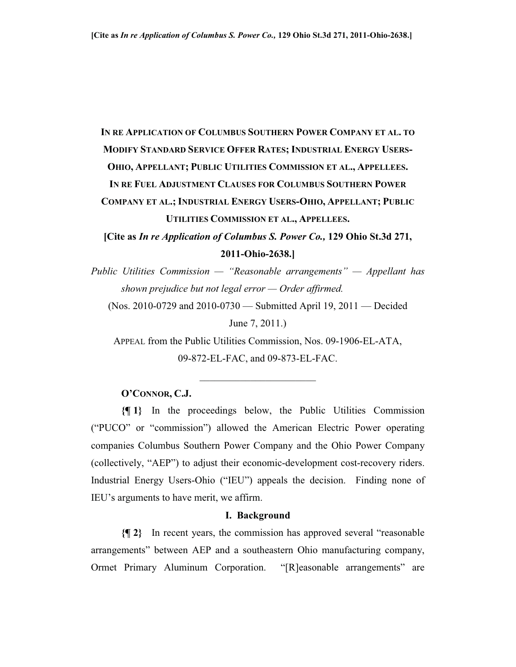# **IN RE APPLICATION OF COLUMBUS SOUTHERN POWER COMPANY ET AL. TO MODIFY STANDARD SERVICE OFFER RATES; INDUSTRIAL ENERGY USERS-OHIO, APPELLANT; PUBLIC UTILITIES COMMISSION ET AL., APPELLEES. IN RE FUEL ADJUSTMENT CLAUSES FOR COLUMBUS SOUTHERN POWER**

**COMPANY ET AL.; INDUSTRIAL ENERGY USERS-OHIO, APPELLANT; PUBLIC UTILITIES COMMISSION ET AL., APPELLEES.**

**[Cite as** *In re Application of Columbus S. Power Co.,* **129 Ohio St.3d 271, 2011-Ohio-2638.]**

*Public Utilities Commission — "Reasonable arrangements" — Appellant has shown prejudice but not legal error — Order affirmed.* 

(Nos. 2010-0729 and 2010-0730 — Submitted April 19, 2011 — Decided June 7, 2011.)

APPEAL from the Public Utilities Commission, Nos. 09-1906-EL-ATA, 09-872-EL-FAC, and 09-873-EL-FAC.

 $\overline{\phantom{a}}$  , and the set of the set of the set of the set of the set of the set of the set of the set of the set of the set of the set of the set of the set of the set of the set of the set of the set of the set of the s

#### **O'CONNOR, C.J.**

**{¶ 1}** In the proceedings below, the Public Utilities Commission ("PUCO" or "commission") allowed the American Electric Power operating companies Columbus Southern Power Company and the Ohio Power Company (collectively, "AEP") to adjust their economic-development cost-recovery riders. Industrial Energy Users-Ohio ("IEU") appeals the decision. Finding none of IEU's arguments to have merit, we affirm.

#### **I. Background**

**{¶ 2}** In recent years, the commission has approved several "reasonable arrangements" between AEP and a southeastern Ohio manufacturing company, Ormet Primary Aluminum Corporation. "[R]easonable arrangements" are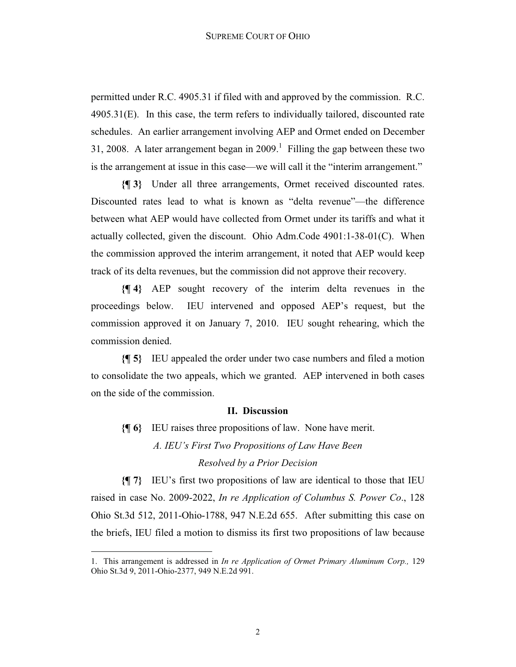permitted under R.C. 4905.31 if filed with and approved by the commission. R.C. 4905.31(E). In this case, the term refers to individually tailored, discounted rate schedules. An earlier arrangement involving AEP and Ormet ended on December 31, 2008. A later arrangement began in  $2009$ .<sup>1</sup> Filling the gap between these two is the arrangement at issue in this case—we will call it the "interim arrangement."

**{¶ 3}** Under all three arrangements, Ormet received discounted rates. Discounted rates lead to what is known as "delta revenue"—the difference between what AEP would have collected from Ormet under its tariffs and what it actually collected, given the discount. Ohio Adm.Code 4901:1-38-01(C). When the commission approved the interim arrangement, it noted that AEP would keep track of its delta revenues, but the commission did not approve their recovery.

**{¶ 4}** AEP sought recovery of the interim delta revenues in the proceedings below. IEU intervened and opposed AEP's request, but the commission approved it on January 7, 2010. IEU sought rehearing, which the commission denied.

**{¶ 5}** IEU appealed the order under two case numbers and filed a motion to consolidate the two appeals, which we granted. AEP intervened in both cases on the side of the commission.

#### **II. Discussion**

**{¶ 6}** IEU raises three propositions of law. None have merit. *A. IEU's First Two Propositions of Law Have Been* 

*Resolved by a Prior Decision*

**{¶ 7}** IEU's first two propositions of law are identical to those that IEU raised in case No. 2009-2022, *In re Application of Columbus S. Power Co*., 128 Ohio St.3d 512, 2011-Ohio-1788, 947 N.E.2d 655. After submitting this case on the briefs, IEU filed a motion to dismiss its first two propositions of law because

<sup>1.</sup> This arrangement is addressed in *In re Application of Ormet Primary Aluminum Corp.,* 129 Ohio St.3d 9, 2011-Ohio-2377, 949 N.E.2d 991.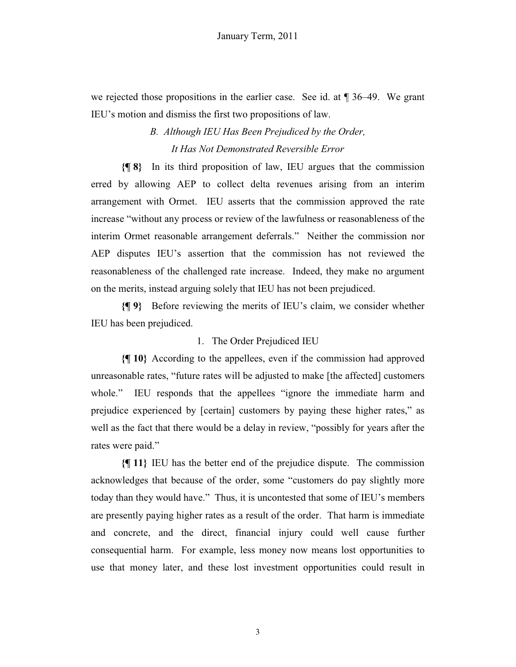we rejected those propositions in the earlier case. See id. at ¶ 36–49. We grant IEU's motion and dismiss the first two propositions of law.

## *B. Although IEU Has Been Prejudiced by the Order, It Has Not Demonstrated Reversible Error*

**{¶ 8}** In its third proposition of law, IEU argues that the commission erred by allowing AEP to collect delta revenues arising from an interim arrangement with Ormet. IEU asserts that the commission approved the rate increase "without any process or review of the lawfulness or reasonableness of the interim Ormet reasonable arrangement deferrals." Neither the commission nor AEP disputes IEU's assertion that the commission has not reviewed the reasonableness of the challenged rate increase. Indeed, they make no argument on the merits, instead arguing solely that IEU has not been prejudiced.

**{¶ 9}** Before reviewing the merits of IEU's claim, we consider whether IEU has been prejudiced.

### 1. The Order Prejudiced IEU

**{¶ 10}** According to the appellees, even if the commission had approved unreasonable rates, "future rates will be adjusted to make [the affected] customers whole." IEU responds that the appellees "ignore the immediate harm and prejudice experienced by [certain] customers by paying these higher rates," as well as the fact that there would be a delay in review, "possibly for years after the rates were paid."

**{¶ 11}** IEU has the better end of the prejudice dispute. The commission acknowledges that because of the order, some "customers do pay slightly more today than they would have." Thus, it is uncontested that some of IEU's members are presently paying higher rates as a result of the order. That harm is immediate and concrete, and the direct, financial injury could well cause further consequential harm. For example, less money now means lost opportunities to use that money later, and these lost investment opportunities could result in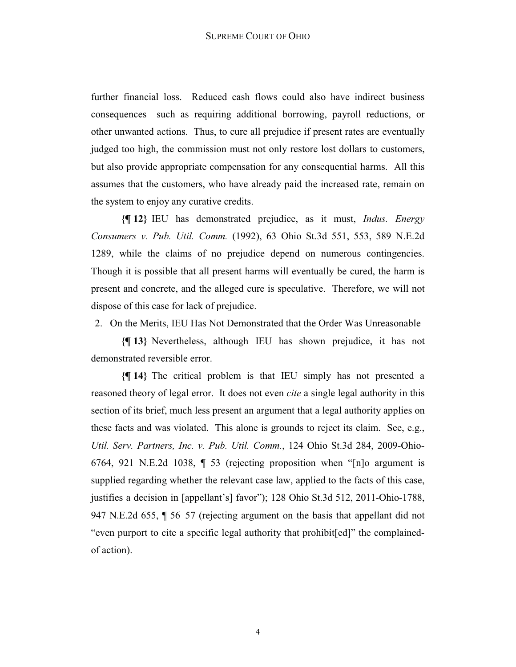further financial loss. Reduced cash flows could also have indirect business consequences—such as requiring additional borrowing, payroll reductions, or other unwanted actions. Thus, to cure all prejudice if present rates are eventually judged too high, the commission must not only restore lost dollars to customers, but also provide appropriate compensation for any consequential harms. All this assumes that the customers, who have already paid the increased rate, remain on the system to enjoy any curative credits.

**{¶ 12}** IEU has demonstrated prejudice, as it must, *Indus. Energy Consumers v. Pub. Util. Comm.* (1992), 63 Ohio St.3d 551, 553, 589 N.E.2d 1289, while the claims of no prejudice depend on numerous contingencies. Though it is possible that all present harms will eventually be cured, the harm is present and concrete, and the alleged cure is speculative. Therefore, we will not dispose of this case for lack of prejudice.

2. On the Merits, IEU Has Not Demonstrated that the Order Was Unreasonable

**{¶ 13}** Nevertheless, although IEU has shown prejudice, it has not demonstrated reversible error.

**{¶ 14}** The critical problem is that IEU simply has not presented a reasoned theory of legal error. It does not even *cite* a single legal authority in this section of its brief, much less present an argument that a legal authority applies on these facts and was violated. This alone is grounds to reject its claim. See, e.g., *Util. Serv. Partners, Inc. v. Pub. Util. Comm.*, 124 Ohio St.3d 284, 2009-Ohio-6764, 921 N.E.2d 1038, ¶ 53 (rejecting proposition when "[n]o argument is supplied regarding whether the relevant case law, applied to the facts of this case, justifies a decision in [appellant's] favor"); 128 Ohio St.3d 512, 2011-Ohio-1788, 947 N.E.2d 655, ¶ 56–57 (rejecting argument on the basis that appellant did not "even purport to cite a specific legal authority that prohibit[ed]" the complainedof action).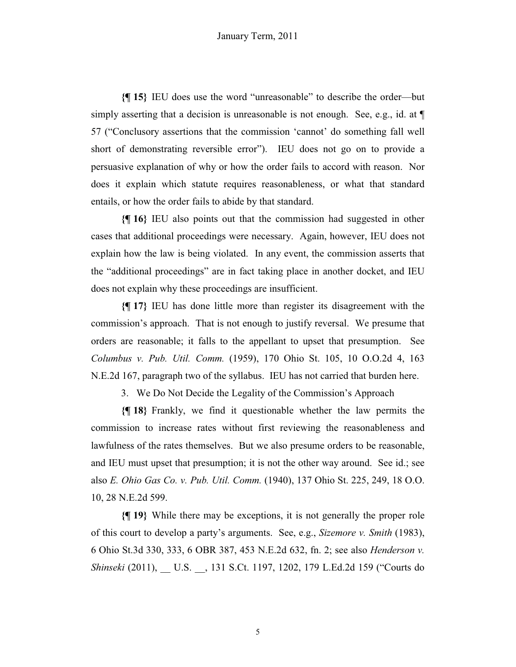**{¶ 15}** IEU does use the word "unreasonable" to describe the order—but simply asserting that a decision is unreasonable is not enough. See, e.g., id. at  $\P$ 57 ("Conclusory assertions that the commission 'cannot' do something fall well short of demonstrating reversible error"). IEU does not go on to provide a persuasive explanation of why or how the order fails to accord with reason. Nor does it explain which statute requires reasonableness, or what that standard entails, or how the order fails to abide by that standard.

**{¶ 16}** IEU also points out that the commission had suggested in other cases that additional proceedings were necessary. Again, however, IEU does not explain how the law is being violated. In any event, the commission asserts that the "additional proceedings" are in fact taking place in another docket, and IEU does not explain why these proceedings are insufficient.

**{¶ 17}** IEU has done little more than register its disagreement with the commission's approach. That is not enough to justify reversal. We presume that orders are reasonable; it falls to the appellant to upset that presumption. See *Columbus v. Pub. Util. Comm.* (1959), 170 Ohio St. 105, 10 O.O.2d 4, 163 N.E.2d 167, paragraph two of the syllabus. IEU has not carried that burden here.

3. We Do Not Decide the Legality of the Commission's Approach

**{¶ 18}** Frankly, we find it questionable whether the law permits the commission to increase rates without first reviewing the reasonableness and lawfulness of the rates themselves. But we also presume orders to be reasonable, and IEU must upset that presumption; it is not the other way around. See id.; see also *E. Ohio Gas Co. v. Pub. Util. Comm.* (1940), 137 Ohio St. 225, 249, 18 O.O. 10, 28 N.E.2d 599.

**{¶ 19}** While there may be exceptions, it is not generally the proper role of this court to develop a party's arguments. See, e.g., *Sizemore v. Smith* (1983), 6 Ohio St.3d 330, 333, 6 OBR 387, 453 N.E.2d 632, fn. 2; see also *Henderson v. Shinseki* (2011), \_\_ U.S. \_\_, 131 S.Ct. 1197, 1202, 179 L.Ed.2d 159 ("Courts do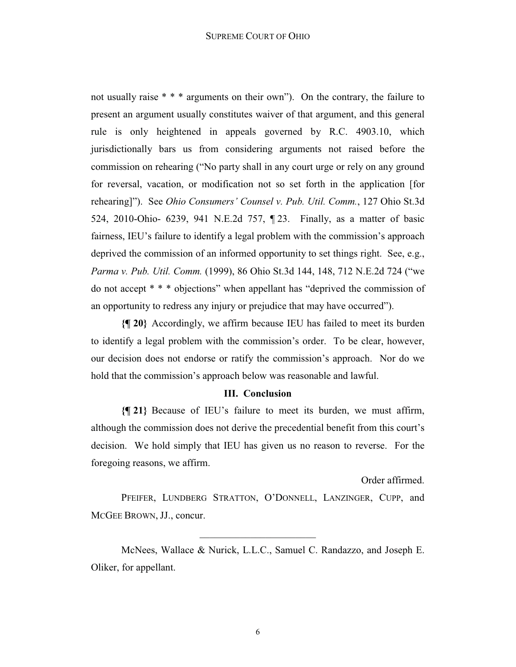not usually raise \* \* \* arguments on their own"). On the contrary, the failure to present an argument usually constitutes waiver of that argument, and this general rule is only heightened in appeals governed by R.C. 4903.10, which jurisdictionally bars us from considering arguments not raised before the commission on rehearing ("No party shall in any court urge or rely on any ground for reversal, vacation, or modification not so set forth in the application [for rehearing]"). See *Ohio Consumers' Counsel v. Pub. Util. Comm.*, 127 Ohio St.3d 524, 2010-Ohio- 6239, 941 N.E.2d 757, ¶ 23. Finally, as a matter of basic fairness, IEU's failure to identify a legal problem with the commission's approach deprived the commission of an informed opportunity to set things right. See, e.g., *Parma v. Pub. Util. Comm.* (1999), 86 Ohio St.3d 144, 148, 712 N.E.2d 724 ("we do not accept \* \* \* objections" when appellant has "deprived the commission of an opportunity to redress any injury or prejudice that may have occurred").

**{¶ 20}** Accordingly, we affirm because IEU has failed to meet its burden to identify a legal problem with the commission's order. To be clear, however, our decision does not endorse or ratify the commission's approach. Nor do we hold that the commission's approach below was reasonable and lawful.

#### **III. Conclusion**

**{¶ 21}** Because of IEU's failure to meet its burden, we must affirm, although the commission does not derive the precedential benefit from this court's decision. We hold simply that IEU has given us no reason to reverse. For the foregoing reasons, we affirm.

Order affirmed.

PFEIFER, LUNDBERG STRATTON, O'DONNELL, LANZINGER, CUPP, and MCGEE BROWN, JJ., concur.

 $\overline{\phantom{a}}$  , and the set of the set of the set of the set of the set of the set of the set of the set of the set of the set of the set of the set of the set of the set of the set of the set of the set of the set of the s

McNees, Wallace & Nurick, L.L.C., Samuel C. Randazzo, and Joseph E. Oliker, for appellant.

6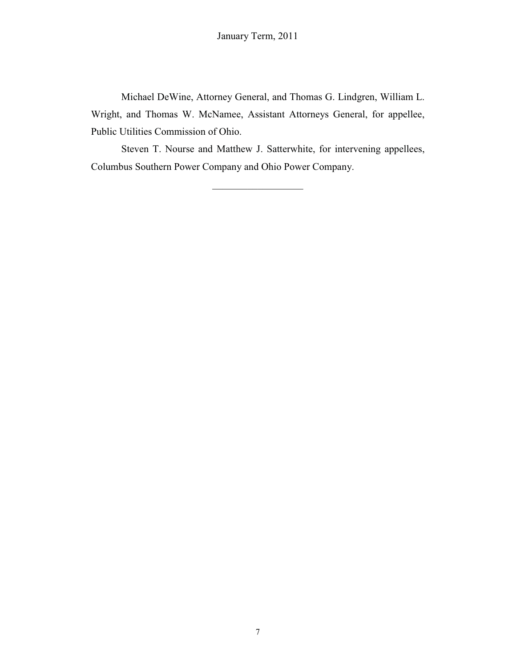Michael DeWine, Attorney General, and Thomas G. Lindgren, William L. Wright, and Thomas W. McNamee, Assistant Attorneys General, for appellee, Public Utilities Commission of Ohio.

Steven T. Nourse and Matthew J. Satterwhite, for intervening appellees, Columbus Southern Power Company and Ohio Power Company.

 $\overline{\phantom{a}}$  , which is a set of the set of the set of the set of the set of the set of the set of the set of the set of the set of the set of the set of the set of the set of the set of the set of the set of the set of th